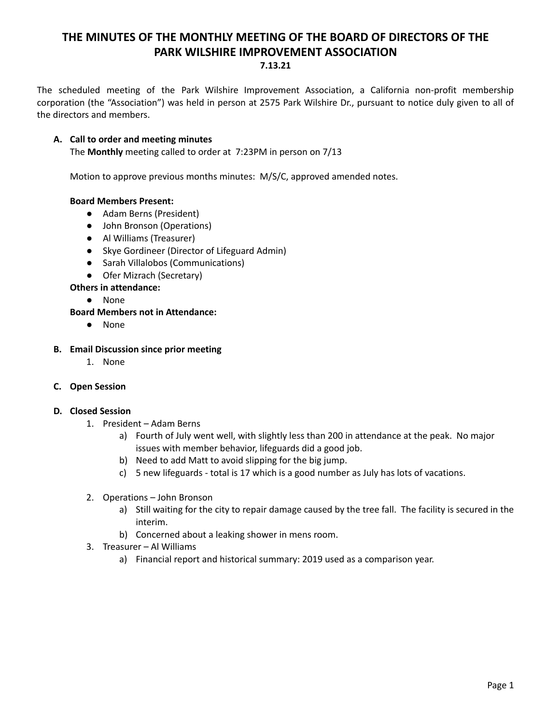# **THE MINUTES OF THE MONTHLY MEETING OF THE BOARD OF DIRECTORS OF THE PARK WILSHIRE IMPROVEMENT ASSOCIATION 7.13.21**

The scheduled meeting of the Park Wilshire Improvement Association, a California non-profit membership corporation (the "Association") was held in person at 2575 Park Wilshire Dr., pursuant to notice duly given to all of the directors and members.

# **A. Call to order and meeting minutes**

The **Monthly** meeting called to order at 7:23PM in person on 7/13

Motion to approve previous months minutes: M/S/C, approved amended notes.

#### **Board Members Present:**

- Adam Berns (President)
- John Bronson (Operations)
- **●** Al Williams (Treasurer)
- Skye Gordineer (Director of Lifeguard Admin)
- Sarah Villalobos (Communications)
- Ofer Mizrach (Secretary)

# **Others in attendance:**

● None

# **Board Members not in Attendance:**

● None

#### **B. Email Discussion since prior meeting**

1. None

# **C. Open Session**

#### **D. Closed Session**

- 1. President Adam Berns
	- a) Fourth of July went well, with slightly less than 200 in attendance at the peak. No major issues with member behavior, lifeguards did a good job.
	- b) Need to add Matt to avoid slipping for the big jump.
	- c) 5 new lifeguards total is 17 which is a good number as July has lots of vacations.
- 2. Operations John Bronson
	- a) Still waiting for the city to repair damage caused by the tree fall. The facility is secured in the interim.
	- b) Concerned about a leaking shower in mens room.
- 3. Treasurer Al Williams
	- a) Financial report and historical summary: 2019 used as a comparison year.